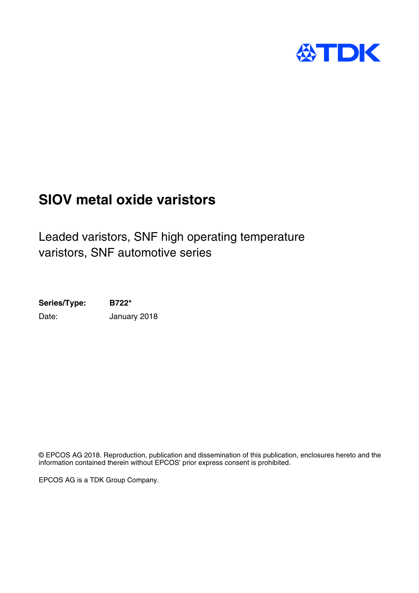

# **SIOV metal oxide varistors**

Leaded varistors, SNF high operating temperature varistors, SNF automotive series

**Series/Type: B722\*** Date: January 2018

© EPCOS AG 2018. Reproduction, publication and dissemination of this publication, enclosures hereto and the information contained therein without EPCOS' prior express consent is prohibited.

EPCOS AG is a TDK Group Company.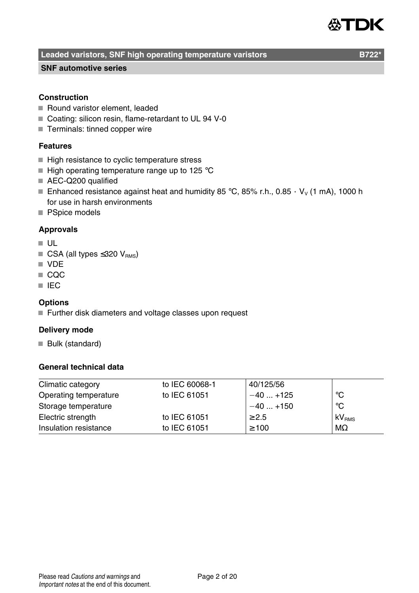# ÆTDK

### **Leaded varistors, SNF high operating temperature varistors B722**

#### **SNF automotive series**

#### **Construction**

- Round varistor element, leaded
- Coating: silicon resin, flame-retardant to UL 94 V-0
- Terminals: tinned copper wire

#### **Features**

- High resistance to cyclic temperature stress
- $\blacksquare$  High operating temperature range up to 125 °C
- AEC-Q200 qualified
- Enhanced resistance against heat and humidity 85 °C, 85% r.h., 0.85  $\cdot$  V<sub>v</sub> (1 mA), 1000 h for use in harsh environments
- **PSpice models**

#### **Approvals**

- UL
- $\blacksquare$  CSA (all types ≤320 V<sub>RMS</sub>)
- **N** VDF
- $\Box$  COC
- **III** IEC

#### **Options**

■ Further disk diameters and voltage classes upon request

#### **Delivery mode**

Bulk (standard)

#### **General technical data**

| to IEC 60068-1 | 40/125/56  |                   |
|----------------|------------|-------------------|
| to IEC 61051   | $-40+125$  | °C                |
|                | $-40+150$  | $^{\circ}$ C      |
| to IEC 61051   |            | kV <sub>RMS</sub> |
| to IEC 61051   | $\geq 100$ | $M\Omega$         |
|                |            | $\geq 2.5$        |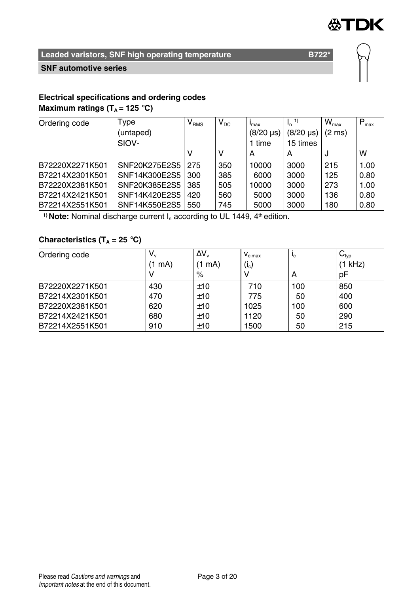

#### **SNF automotive series**

#### **Electrical specifications and ordering codes Maximum ratings (** $T_A$  **= 125 °C)**

| Ordering code   | Type          | $\mathsf{V}_{\texttt{RMS}}$ | $V_{DC}$ | max                  | $I_n$            | $W_{\text{max}}$ | $P_{\text{max}}$ |
|-----------------|---------------|-----------------------------|----------|----------------------|------------------|------------------|------------------|
|                 | (untaped)     |                             |          | $(8/20 \,\text{µs})$ | $(8/20 \,\mu s)$ | $(2 \text{ ms})$ |                  |
|                 | SIOV-         |                             |          | 1 time               | 15 times         |                  |                  |
|                 |               |                             | ν        | А                    | А                | J                | w                |
| B72220X2271K501 | SNF20K275E2S5 | 275                         | 350      | 10000                | 3000             | 215              | 1.00             |
| B72214X2301K501 | SNF14K300E2S5 | 300                         | 385      | 6000                 | 3000             | 125              | 0.80             |
| B72220X2381K501 | SNF20K385E2S5 | 385                         | 505      | 10000                | 3000             | 273              | 1.00             |
| B72214X2421K501 | SNF14K420E2S5 | 420                         | 560      | 5000                 | 3000             | 136              | 0.80             |
| B72214X2551K501 | SNF14K550E2S5 | 550                         | 745      | 5000                 | 3000             | 180              | 0.80             |

<sup>1)</sup> **Note:** Nominal discharge current  $I_n$  according to UL 1449,  $4<sup>th</sup>$  edition.

### **Characteristics (T<sup>A</sup> = 25** °**C)**

| Ordering code   | V.,    | $\Delta V_{\rm w}$ | $V_{c,max}$       | $L_{\rm C}$ | $\mathsf{C}_{\mathsf{typ}}$ |
|-----------------|--------|--------------------|-------------------|-------------|-----------------------------|
|                 | (1 mA) | mA)                | (i <sub>c</sub> ) |             | (1 kHz)                     |
|                 |        | $\%$               |                   | А           | pF                          |
| B72220X2271K501 | 430    | ±10                | 710               | 100         | 850                         |
| B72214X2301K501 | 470    | ±10                | 775               | 50          | 400                         |
| B72220X2381K501 | 620    | ±10                | 1025              | 100         | 600                         |
| B72214X2421K501 | 680    | ±10                | 1120              | 50          | 290                         |
| B72214X2551K501 | 910    | ±10                | 1500              | 50          | 215                         |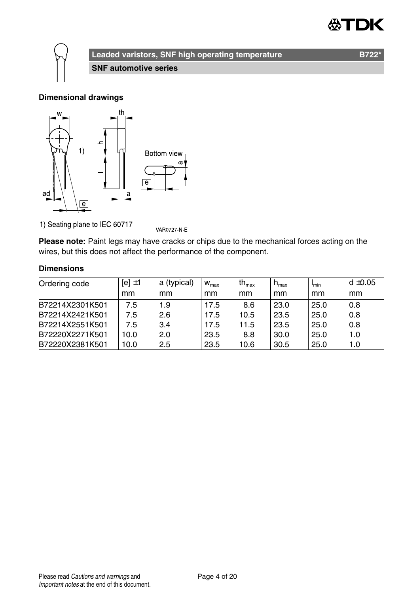

### **Leaded varistors, SNF high operating temperature B722** B722<sup>\*</sup>

**SNF automotive series**

#### **Dimensional drawings**



1) Seating plane to IEC 60717

VAR0727-N-E

**Please note:** Paint legs may have cracks or chips due to the mechanical forces acting on the wires, but this does not affect the performance of the component.

#### **Dimensions**

| Ordering code   | $[el \pm 1]$ | a (typical) | $W_{\text{max}}$ | $th_{\text{max}}$ | $h_{\text{max}}$ | I <sub>min</sub> | $d \pm 0.05$ |
|-----------------|--------------|-------------|------------------|-------------------|------------------|------------------|--------------|
|                 | mm           | mm          | mm               | mm                | mm               | mm               | mm           |
| B72214X2301K501 | 7.5          | 1.9         | 17.5             | 8.6               | 23.0             | 25.0             | 0.8          |
| B72214X2421K501 | 7.5          | 2.6         | 17.5             | 10.5              | 23.5             | 25.0             | 0.8          |
| B72214X2551K501 | 7.5          | 3.4         | 17.5             | 11.5              | 23.5             | 25.0             | 0.8          |
| B72220X2271K501 | 10.0         | 2.0         | 23.5             | 8.8               | 30.0             | 25.0             | 1.0          |
| B72220X2381K501 | 10.0         | 2.5         | 23.5             | 10.6              | 30.5             | 25.0             | 1.0          |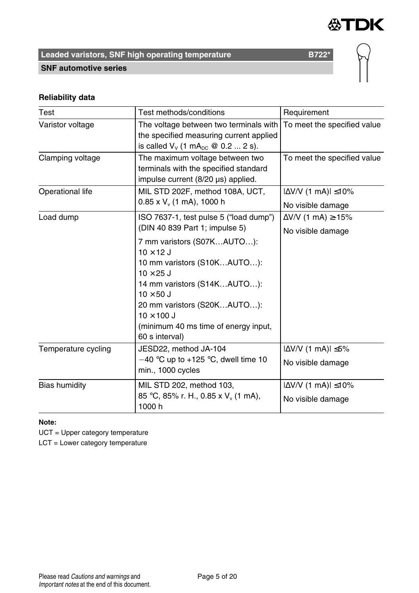

**SNF automotive series**



### **Reliability data**

| Test                 | Test methods/conditions                                                                                                                              | Requirement                        |
|----------------------|------------------------------------------------------------------------------------------------------------------------------------------------------|------------------------------------|
| Varistor voltage     | The voltage between two terminals with<br>the specified measuring current applied<br>is called $V_v$ (1 mA <sub>pc</sub> @ 0.2  2 s).                | To meet the specified value        |
| Clamping voltage     | The maximum voltage between two<br>terminals with the specified standard<br>impulse current (8/20 µs) applied.                                       | To meet the specified value        |
| Operational life     | MIL STD 202F, method 108A, UCT,                                                                                                                      | $ \Delta V/V $ (1 mA) $ \leq 10\%$ |
|                      | $0.85$ x V <sub>v</sub> (1 mA), 1000 h                                                                                                               | No visible damage                  |
| Load dump            | ISO 7637-1, test pulse 5 ("load dump")                                                                                                               | $\Delta$ V/V (1 mA) $\ge$ -15%     |
|                      | (DIN 40 839 Part 1; impulse 5)                                                                                                                       | No visible damage                  |
|                      | 7 mm varistors (S07KAUTO):<br>$10 \times 12$ J<br>10 mm varistors (S10KAUTO):<br>$10 \times 25$ J<br>14 mm varistors (S14KAUTO):<br>$10 \times 50$ J |                                    |
|                      | 20 mm varistors (S20KAUTO):<br>$10 \times 100$ J<br>(minimum 40 ms time of energy input,<br>60 s interval)                                           |                                    |
| Temperature cycling  | JESD22, method JA-104                                                                                                                                | $ \Delta V/V$ (1 mA) $ \leq 5\%$   |
|                      | $-40$ °C up to +125 °C, dwell time 10<br>min., 1000 cycles                                                                                           | No visible damage                  |
| <b>Bias humidity</b> | MIL STD 202, method 103,                                                                                                                             | $ \Delta V/V $ (1 mA) $ \leq 10\%$ |
|                      | 85 °C, 85% r. H., 0.85 x V <sub>v</sub> (1 mA),<br>1000h                                                                                             | No visible damage                  |

**Note:**

UCT = Upper category temperature

LCT = Lower category temperature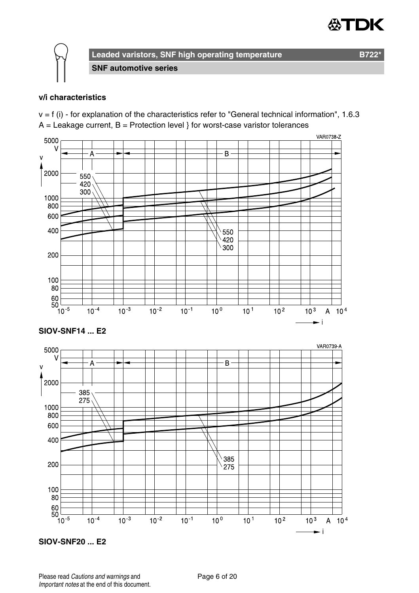



**SNF automotive series**

#### **v/i characteristics**

 $v = f$  (i) - for explanation of the characteristics refer to "General technical information", 1.6.3  $A =$  Leakage current,  $B =$  Protection level } for worst-case varistor tolerances



**SIOV-SNF20 ... E2**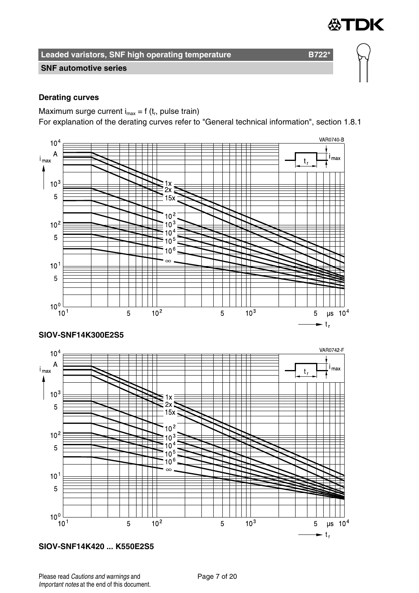

#### **SNF automotive series**

#### **Derating curves**

Maximum surge current  $i_{max} = f(t_r)$ , pulse train)

For explanation of the derating curves refer to "General technical information", section 1.8.1



**SIOV-SNF14K420 ... K550E2S5**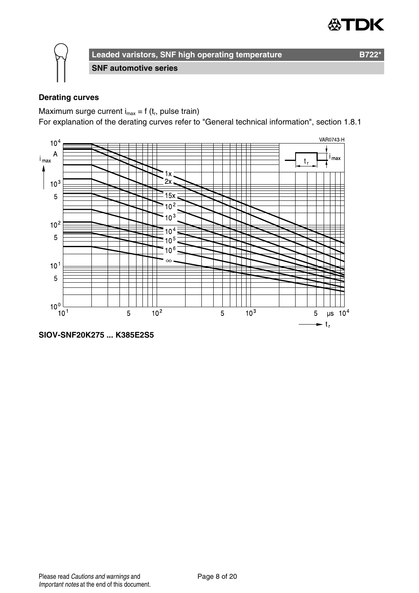



**SNF automotive series**

#### **Derating curves**

Maximum surge current  $i_{max} = f(t_r)$ , pulse train)

For explanation of the derating curves refer to "General technical information", section 1.8.1



**SIOV-SNF20K275 ... K385E2S5**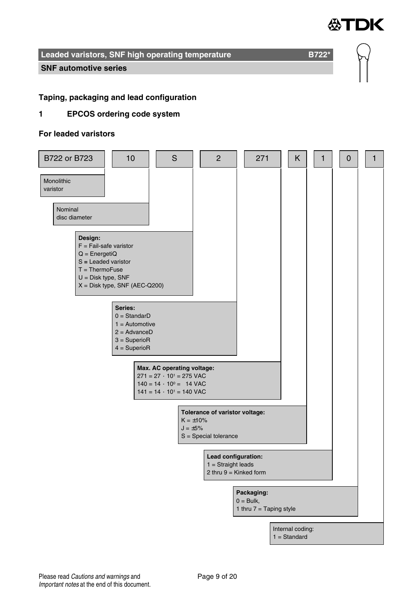

**SNF automotive series**

#### **Taping, packaging and lead configuration**

#### **1 EPCOS ordering code system**

#### **For leaded varistors**

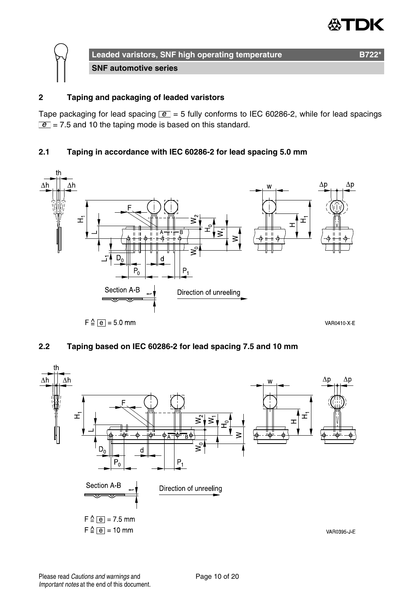

#### **2 Taping and packaging of leaded varistors**

Tape packaging for lead spacing  $\boxed{e}$  = 5 fully conforms to IEC 60286-2, while for lead spacings  $\boxed{e}$  = 7.5 and 10 the taping mode is based on this standard.

#### **2.1 Taping in accordance with IEC 60286-2 for lead spacing 5.0 mm**



#### **2.2 Taping based on IEC 60286-2 for lead spacing 7.5 and 10 mm**

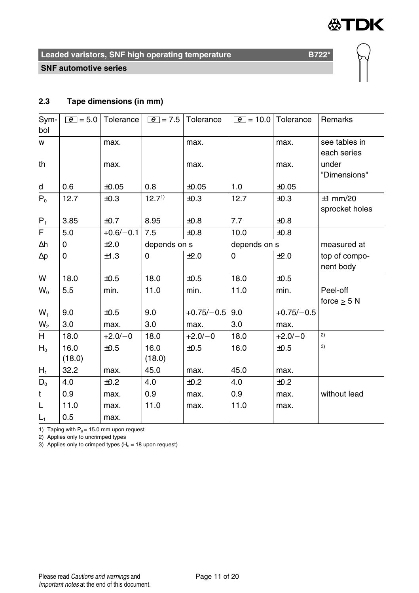



**SNF automotive series**

#### **2.3 Tape dimensions (in mm)**

| Sym-           | $\overline{e}$ = 5.0 | Tolerance   | $ e  = 7.5$       | Tolerance    |              | $\boxed{e}$ = 10.0 Tolerance | Remarks        |
|----------------|----------------------|-------------|-------------------|--------------|--------------|------------------------------|----------------|
| bol            |                      |             |                   |              |              |                              |                |
| w              |                      | max.        |                   | max.         |              | max.                         | see tables in  |
|                |                      |             |                   |              |              |                              | each series    |
| th             |                      | max.        |                   | max.         |              | max.                         | under          |
|                |                      |             |                   |              |              |                              | "Dimensions"   |
| d              | 0.6                  | $\pm 0.05$  | 0.8               | $\pm 0.05$   | 1.0          | ±0.05                        |                |
| $P_0$          | 12.7                 | ±0.3        | 12.7 <sup>1</sup> | ±0.3         | 12.7         | ±0.3                         | $±1$ mm/20     |
|                |                      |             |                   |              |              |                              | sprocket holes |
| $P_1$          | 3.85                 | ±0.7        | 8.95              | $\pm 0.8$    | 7.7          | $\pm 0.8$                    |                |
| F              | 5.0                  | $+0.6/-0.1$ | 7.5               | ±0.8         | 10.0         | ±0.8                         |                |
| Δh             | 0                    | ±2.0        | depends on s      |              | depends on s |                              | measured at    |
| $\Delta p$     | 0                    | ±1.3        | 0                 | ±2.0         | 0            | ±2.0                         | top of compo-  |
|                |                      |             |                   |              |              |                              | nent body      |
| W              | 18.0                 | ±0.5        | 18.0              | ±0.5         | 18.0         | ±0.5                         |                |
| $W_0$          | 5.5                  | min.        | 11.0              | min.         | 11.0         | min.                         | Peel-off       |
|                |                      |             |                   |              |              |                              | force $>$ 5 N  |
| $W_1$          | 9.0                  | ±0.5        | 9.0               | $+0.75/-0.5$ | 9.0          | $+0.75/-0.5$                 |                |
| W <sub>2</sub> | 3.0                  | max.        | 3.0               | max.         | 3.0          | max.                         |                |
| H              | 18.0                 | $+2.0/-0$   | 18.0              | $+2.0/-0$    | 18.0         | $+2.0/-0$                    | 2)             |
| $H_0$          | 16.0                 | ±0.5        | 16.0              | ±0.5         | 16.0         | ±0.5                         | 3)             |
|                | (18.0)               |             | (18.0)            |              |              |                              |                |
| $H_1$          | 32.2                 | max.        | 45.0              | max.         | 45.0         | max.                         |                |
| $D_0$          | 4.0                  | ±0.2        | 4.0               | ±0.2         | 4.0          | ±0.2                         |                |
| t              | 0.9                  | max.        | 0.9               | max.         | 0.9          | max.                         | without lead   |
| L              | 11.0                 | max.        | 11.0              | max.         | 11.0         | max.                         |                |
| $L_1$          | 0.5                  | max.        |                   |              |              |                              |                |

1) Taping with  $P_0 = 15.0$  mm upon request

2) Applies only to uncrimped types

3) Applies only to crimped types  $(H_0 = 18 \text{ upon request})$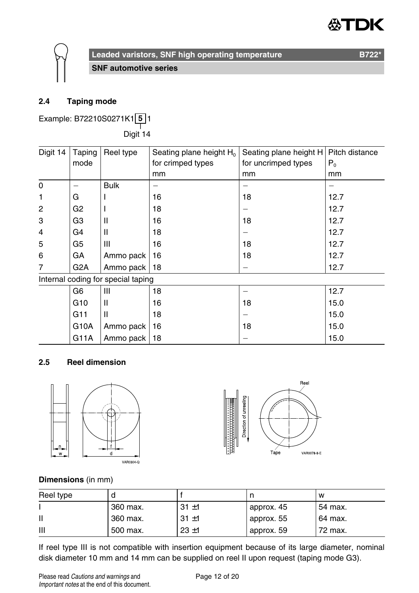

**SNF automotive series**

#### **2.4 Taping mode**

Example: B72210S0271K1 **5** 1

——<br>Digit 14

| Digit 14       | Taping           | Reel type                          | Seating plane height H <sub>0</sub> | Seating plane height H | Pitch distance |
|----------------|------------------|------------------------------------|-------------------------------------|------------------------|----------------|
|                | mode             |                                    | for crimped types                   | for uncrimped types    | $P_0$          |
|                |                  |                                    | mm                                  | mm                     | mm             |
| 0              |                  | <b>Bulk</b>                        |                                     |                        |                |
| 1              | G                |                                    | 16                                  | 18                     | 12.7           |
| 2              | G <sub>2</sub>   |                                    | 18                                  |                        | 12.7           |
| 3              | G3               | $\mathsf{I}$                       | 16                                  | 18                     | 12.7           |
| $\overline{4}$ | G4               | Ш                                  | 18                                  |                        | 12.7           |
| 5              | G5               | Ш                                  | 16                                  | 18                     | 12.7           |
| 6              | GА               | Ammo pack                          | 16                                  | 18                     | 12.7           |
| 7              | G <sub>2</sub> A | Ammo pack                          | 18                                  |                        | 12.7           |
|                |                  | Internal coding for special taping |                                     |                        |                |
|                | G6               | Ш                                  | 18                                  |                        | 12.7           |
|                | G <sub>10</sub>  | Ш                                  | 16                                  | 18                     | 15.0           |
|                | G11              | $\mathsf{II}$                      | 18                                  |                        | 15.0           |
|                | G10A             | Ammo pack                          | 16                                  | 18                     | 15.0           |
|                | G11A             | Ammo pack                          | 18                                  |                        | 15.0           |

#### **2.5 Reel dimension**





#### **Dimensions** (in mm)

| Reel type |          |          |            | w       |
|-----------|----------|----------|------------|---------|
|           | 360 max. | $31 + 1$ | approx. 45 | 54 max. |
|           | 360 max. | $31 + 1$ | approx. 55 | 64 max. |
| Ш         | 500 max. | $23 + 1$ | approx. 59 | 72 max. |

If reel type III is not compatible with insertion equipment because of its large diameter, nominal disk diameter 10 mm and 14 mm can be supplied on reel II upon request (taping mode G3).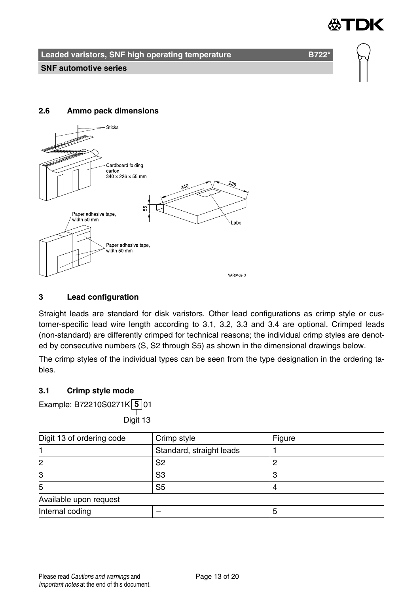

**Leaded varistors, SNF high operating temperature B7221 B722<sup>\*</sup>** 

#### **2.6 Ammo pack dimensions**



#### **3 Lead configuration**

Straight leads are standard for disk varistors. Other lead configurations as crimp style or customer-specific lead wire length according to 3.1, 3.2, 3.3 and 3.4 are optional. Crimped leads (non-standard) are differently crimped for technical reasons; the individual crimp styles are denoted by consecutive numbers (S, S2 through S5) as shown in the dimensional drawings below.

The crimp styles of the individual types can be seen from the type designation in the ordering tables.

#### **3.1 Crimp style mode**

Example: B72210S0271K **5** 01

——<br>Digit 13

| Digit 13 of ordering code | Crimp style              | Figure |
|---------------------------|--------------------------|--------|
|                           | Standard, straight leads |        |
| 2                         | S2                       |        |
| 3                         | S3                       |        |
| 5                         | S <sub>5</sub>           |        |
| Available upon request    |                          |        |
| Internal coding           |                          |        |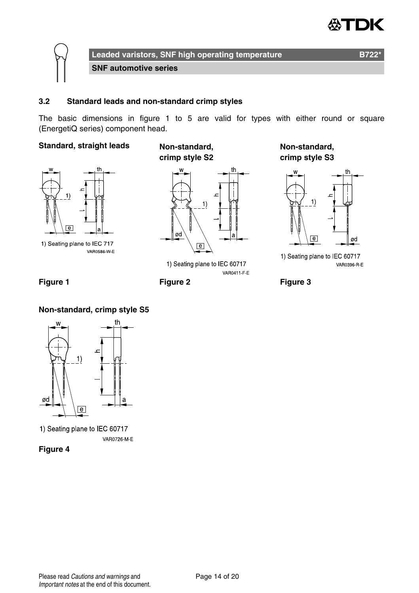

**Leaded varistors, SNF high operating temperature B722\* SNF automotive series**

#### **3.2 Standard leads and non-standard crimp styles**

The basic dimensions in figure 1 to 5 are valid for types with either round or square (EnergetiQ series) component head.

#### **Standard, straight leads Non-standard,**



1) Seating plane to IEC 717 **VAR0586 W E** 





1) Seating plane to IEC 60717 VAR0411 F E

**Non-standard, crimp style S3**



1) Seating plane to IEC 60717 VAR0396 R E



#### **Non-standard, crimp style S5**



1) Seating plane to IEC 60717 VAR0726 M-E

**Figure 4**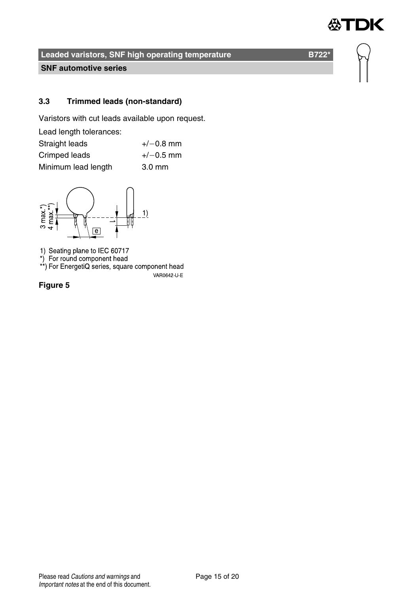

**SNF automotive series**

#### **3.3 Trimmed leads (non-standard)**

Varistors with cut leads available upon request.

| Lead length tolerances: |                  |
|-------------------------|------------------|
| Straight leads          | $+/-0.8$ mm      |
| Crimped leads           | $+/-0.5$ mm      |
| Minimum lead length     | $3.0 \text{ mm}$ |



1) Seating plane to IEC 60717<br>\*) For round component head<br>\*\*) For EnergetiQ series, square component head

VAR0642-U-E

**Figure 5**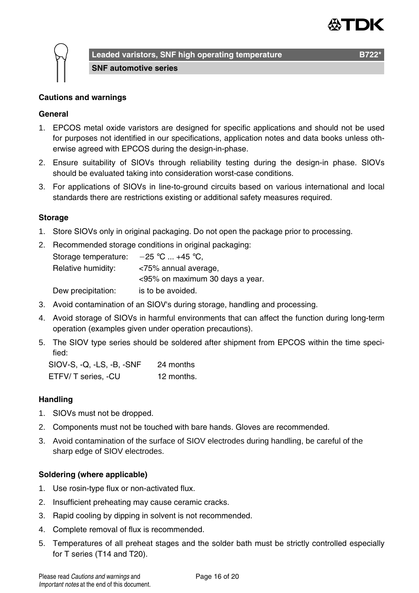



**SNF automotive series**

#### **General**

- 1. EPCOS metal oxide varistors are designed for specific applications and should not be used for purposes not identified in our specifications, application notes and data books unless otherwise agreed with EPCOS during the design-in-phase.
- 2. Ensure suitability of SIOVs through reliability testing during the design-in phase. SIOVs should be evaluated taking into consideration worst-case conditions.
- 3. For applications of SIOVs in line-to-ground circuits based on various international and local standards there are restrictions existing or additional safety measures required.

#### **Storage**

- 1. Store SIOVs only in original packaging. Do not open the package prior to processing.
- 2. Recommended storage conditions in original packaging: Storage temperature:  $-25$  °C ... +45 °C, Relative humidity: <75% annual average, <95% on maximum 30 days a year. Dew precipitation: is to be avoided.
- 3. Avoid contamination of an SIOV's during storage, handling and processing.
- 4. Avoid storage of SIOVs in harmful environments that can affect the function during long-term operation (examples given under operation precautions).
- 5. The SIOV type series should be soldered after shipment from EPCOS within the time specified:

SIOV-S, -Q, -LS, -B, -SNF 24 months ETFV/ T series, -CU 12 months.

#### **Handling**

- 1. SIOVs must not be dropped.
- 2. Components must not be touched with bare hands. Gloves are recommended.
- 3. Avoid contamination of the surface of SIOV electrodes during handling, be careful of the sharp edge of SIOV electrodes.

#### **Soldering (where applicable)**

- 1. Use rosin-type flux or non-activated flux.
- 2. Insufficient preheating may cause ceramic cracks.
- 3. Rapid cooling by dipping in solvent is not recommended.
- 4. Complete removal of flux is recommended.
- 5. Temperatures of all preheat stages and the solder bath must be strictly controlled especially for T series (T14 and T20).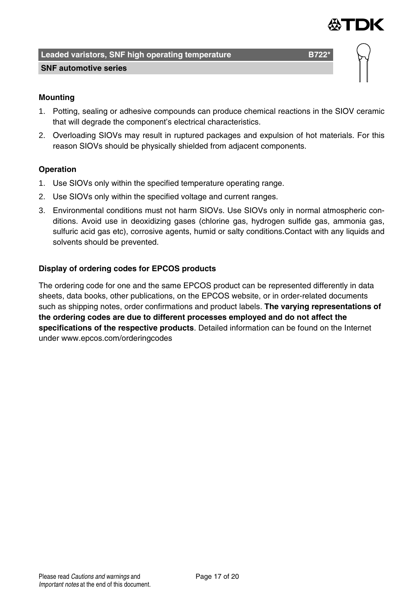

**SNF automotive series**

#### **Mounting**

- 1. Potting, sealing or adhesive compounds can produce chemical reactions in the SIOV ceramic that will degrade the component's electrical characteristics.
- 2. Overloading SIOVs may result in ruptured packages and expulsion of hot materials. For this reason SIOVs should be physically shielded from adjacent components.

#### **Operation**

- 1. Use SIOVs only within the specified temperature operating range.
- 2. Use SIOVs only within the specified voltage and current ranges.
- 3. Environmental conditions must not harm SIOVs. Use SIOVs only in normal atmospheric conditions. Avoid use in deoxidizing gases (chlorine gas, hydrogen sulfide gas, ammonia gas, sulfuric acid gas etc), corrosive agents, humid or salty conditions.Contact with any liquids and solvents should be prevented.

#### **Display of ordering codes for EPCOS products**

The ordering code for one and the same EPCOS product can be represented differently in data sheets, data books, other publications, on the EPCOS website, or in order-related documents such as shipping notes, order confirmations and product labels. **The varying representations of the ordering codes are due to different processes employed and do not affect the specifications of the respective products**. Detailed information can be found on the Internet under www.epcos.com/orderingcodes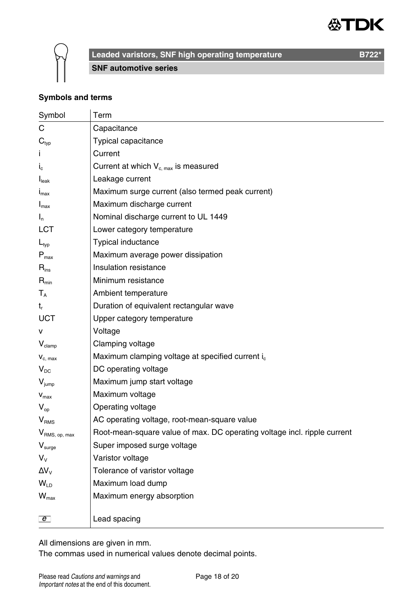



**SNF automotive series**

**Symbols and terms**

| Symbol                      | Term                                                                     |
|-----------------------------|--------------------------------------------------------------------------|
| C                           | Capacitance                                                              |
| $\mathbf{C}_{\text{typ}}$   | Typical capacitance                                                      |
|                             | Current                                                                  |
| $I_{c}$                     | Current at which $V_{c, max}$ is measured                                |
| I <sub>leak</sub>           | Leakage current                                                          |
| $I_{\text{max}}$            | Maximum surge current (also termed peak current)                         |
| $I_{\text{max}}$            | Maximum discharge current                                                |
| $I_n$                       | Nominal discharge current to UL 1449                                     |
| LCT                         | Lower category temperature                                               |
| $L_{typ}$                   | Typical inductance                                                       |
| $P_{\text{max}}$            | Maximum average power dissipation                                        |
| $\mathsf{R}_{\mathsf{ins}}$ | Insulation resistance                                                    |
| $R_{min}$                   | Minimum resistance                                                       |
| $T_A$                       | Ambient temperature                                                      |
| $t_{r}$                     | Duration of equivalent rectangular wave                                  |
| <b>UCT</b>                  | Upper category temperature                                               |
| v                           | Voltage                                                                  |
| $V_{\text{clamp}}$          | Clamping voltage                                                         |
| $V_{c. max}$                | Maximum clamping voltage at specified current i.                         |
| $V_{DC}$                    | DC operating voltage                                                     |
| $V_{\text{jump}}$           | Maximum jump start voltage                                               |
| $V_{max}$                   | Maximum voltage                                                          |
| $V_{\text{on}}$             | Operating voltage                                                        |
| V <sub>RMS</sub>            | AC operating voltage, root-mean-square value                             |
| V <sub>RMS, op, max</sub>   | Root-mean-square value of max. DC operating voltage incl. ripple current |
| $V_{\text{surge}}$          | Super imposed surge voltage                                              |
| $V_{V}$                     | Varistor voltage                                                         |
| $\Delta V_{V}$              | Tolerance of varistor voltage                                            |
| $W_{\text{ID}}$             | Maximum load dump                                                        |
| $W_{\text{max}}$            | Maximum energy absorption                                                |
|                             |                                                                          |
| $\overline{e}$              | Lead spacing                                                             |

All dimensions are given in mm.

The commas used in numerical values denote decimal points.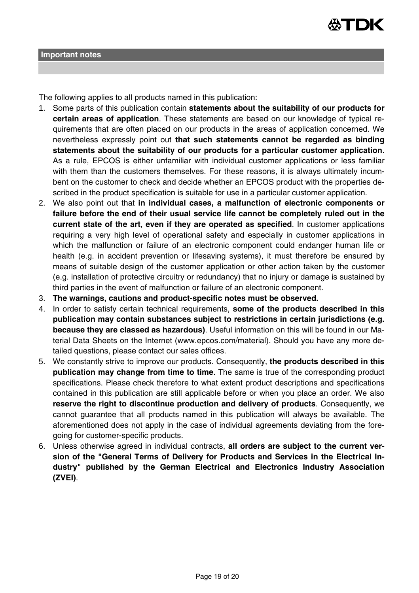

The following applies to all products named in this publication:

- 1. Some parts of this publication contain **statements about the suitability of our products for certain areas of application**. These statements are based on our knowledge of typical requirements that are often placed on our products in the areas of application concerned. We nevertheless expressly point out **that such statements cannot be regarded as binding statements about the suitability of our products for a particular customer application**. As a rule, EPCOS is either unfamiliar with individual customer applications or less familiar with them than the customers themselves. For these reasons, it is always ultimately incumbent on the customer to check and decide whether an EPCOS product with the properties described in the product specification is suitable for use in a particular customer application.
- 2. We also point out that **in individual cases, a malfunction of electronic components or failure before the end of their usual service life cannot be completely ruled out in the current state of the art, even if they are operated as specified**. In customer applications requiring a very high level of operational safety and especially in customer applications in which the malfunction or failure of an electronic component could endanger human life or health (e.g. in accident prevention or lifesaving systems), it must therefore be ensured by means of suitable design of the customer application or other action taken by the customer (e.g. installation of protective circuitry or redundancy) that no injury or damage is sustained by third parties in the event of malfunction or failure of an electronic component.
- 3. **The warnings, cautions and product-specific notes must be observed.**
- 4. In order to satisfy certain technical requirements, **some of the products described in this publication may contain substances subject to restrictions in certain jurisdictions (e.g. because they are classed as hazardous)**. Useful information on this will be found in our Material Data Sheets on the Internet (www.epcos.com/material). Should you have any more detailed questions, please contact our sales offices.
- 5. We constantly strive to improve our products. Consequently, **the products described in this publication may change from time to time**. The same is true of the corresponding product specifications. Please check therefore to what extent product descriptions and specifications contained in this publication are still applicable before or when you place an order. We also **reserve the right to discontinue production and delivery of products**. Consequently, we cannot guarantee that all products named in this publication will always be available. The aforementioned does not apply in the case of individual agreements deviating from the foregoing for customer-specific products.
- 6. Unless otherwise agreed in individual contracts, **all orders are subject to the current version of the "General Terms of Delivery for Products and Services in the Electrical Industry" published by the German Electrical and Electronics Industry Association (ZVEI)**.